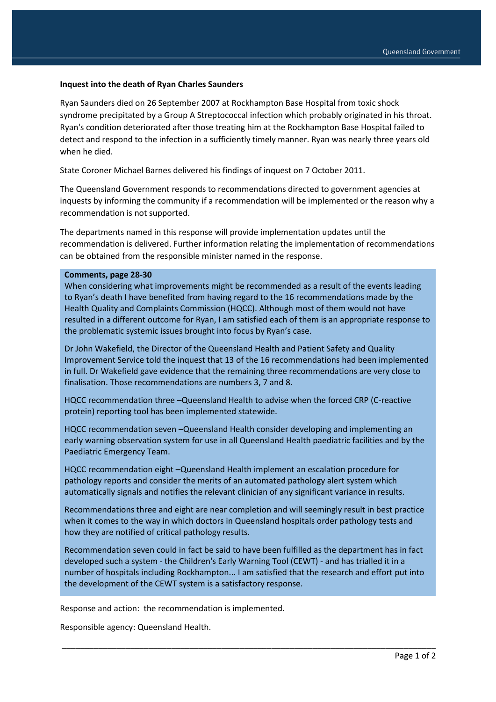## **Inquest into the death of Ryan Charles Saunders**

Ryan Saunders died on 26 September 2007 at Rockhampton Base Hospital from toxic shock syndrome precipitated by a Group A Streptococcal infection which probably originated in his throat. Ryan's condition deteriorated after those treating him at the Rockhampton Base Hospital failed to detect and respond to the infection in a sufficiently timely manner. Ryan was nearly three years old when he died.

State Coroner Michael Barnes delivered his findings of inquest on 7 October 2011.

The Queensland Government responds to recommendations directed to government agencies at inquests by informing the community if a recommendation will be implemented or the reason why a recommendation is not supported.

The departments named in this response will provide implementation updates until the recommendation is delivered. Further information relating the implementation of recommendations can be obtained from the responsible minister named in the response.

## **Comments, page 28-30**

When considering what improvements might be recommended as a result of the events leading to Ryan's death I have benefited from having regard to the 16 recommendations made by the Health Quality and Complaints Commission (HQCC). Although most of them would not have resulted in a different outcome for Ryan, I am satisfied each of them is an appropriate response to the problematic systemic issues brought into focus by Ryan's case.

Dr John Wakefield, the Director of the Queensland Health and Patient Safety and Quality Improvement Service told the inquest that 13 of the 16 recommendations had been implemented in full. Dr Wakefield gave evidence that the remaining three recommendations are very close to finalisation. Those recommendations are numbers 3, 7 and 8.

HQCC recommendation three –Queensland Health to advise when the forced CRP (C-reactive protein) reporting tool has been implemented statewide.

HQCC recommendation seven –Queensland Health consider developing and implementing an early warning observation system for use in all Queensland Health paediatric facilities and by the Paediatric Emergency Team.

HQCC recommendation eight –Queensland Health implement an escalation procedure for pathology reports and consider the merits of an automated pathology alert system which automatically signals and notifies the relevant clinician of any significant variance in results.

Recommendations three and eight are near completion and will seemingly result in best practice when it comes to the way in which doctors in Queensland hospitals order pathology tests and how they are notified of critical pathology results.

Recommendation seven could in fact be said to have been fulfilled as the department has in fact developed such a system - the Children's Early Warning Tool (CEWT) - and has trialled it in a number of hospitals including Rockhampton... I am satisfied that the research and effort put into the development of the CEWT system is a satisfactory response.

\_\_\_\_\_\_\_\_\_\_\_\_\_\_\_\_\_\_\_\_\_\_\_\_\_\_\_\_\_\_\_\_\_\_\_\_\_\_\_\_\_\_\_\_\_\_\_\_\_\_\_\_\_\_\_\_\_\_\_\_\_\_\_\_\_\_\_\_\_\_\_\_\_\_\_\_\_\_\_\_\_\_

Response and action: the recommendation is implemented.

Responsible agency: Queensland Health.